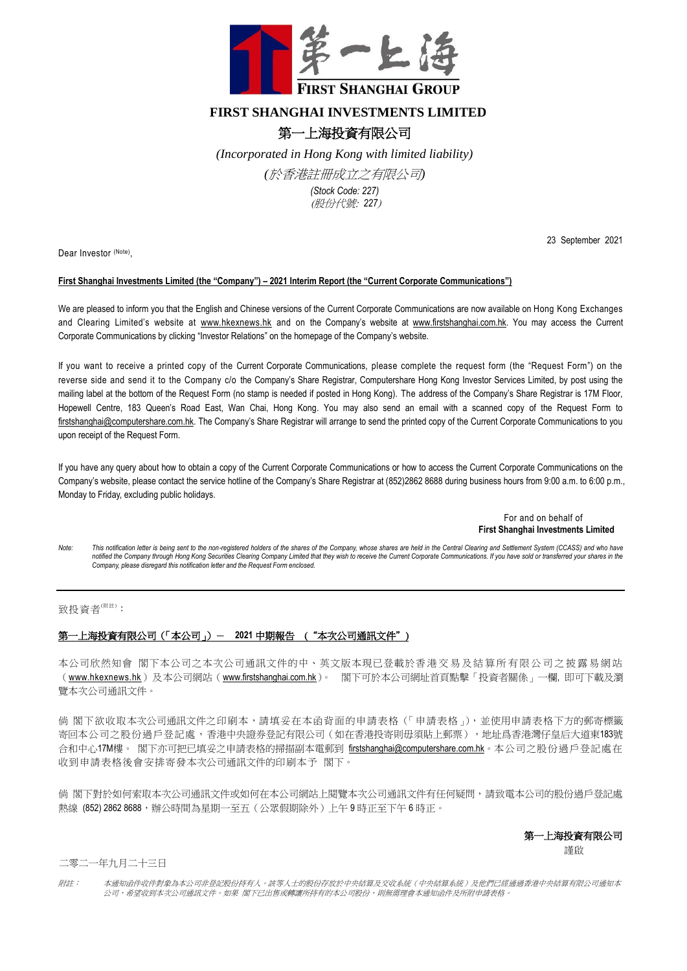

## **FIRST SHANGHAI INVESTMENTS LIMITED**

## 第一上海投資有限公司

*(Incorporated in Hong Kong with limited liability)* 

*(*於香港註冊成立之有限公司*)*

*(Stock Code: 227)* (股份代號: *227*)

Dear Investor (Note),

23 September 2021

## **First Shanghai Investments Limited (the "Company") – 2021 Interim Report (the "Current Corporate Communications")**

We are pleased to inform you that the English and Chinese versions of the Current Corporate Communications are now available on Hong Kong Exchanges and Clearing Limited's website at [www.hkexnews.hk](http://www.hkexnews.hk/) and on the Company's website at [www.firstshanghai.com.hk.](http://www.firstshanghai.com.hk/) You may access the Current Corporate Communications by clicking "Investor Relations" on the homepage of the Company's website.

If you want to receive a printed copy of the Current Corporate Communications, please complete the request form (the "Request Form") on the reverse side and send it to the Company c/o the Company's Share Registrar, Computershare Hong Kong Investor Services Limited, by post using the mailing label at the bottom of the Request Form (no stamp is needed if posted in Hong Kong). The address of the Company's Share Registrar is 17M Floor, Hopewell Centre, 183 Queen's Road East, Wan Chai, Hong Kong. You may also send an email with a scanned copy of the Request Form to [firstshanghai@computershare.com.hk.](mailto:firstshanghai@computershare.com.hk) The Company's Share Registrar will arrange to send the printed copy of the Current Corporate Communications to you upon receipt of the Request Form.

If you have any query about how to obtain a copy of the Current Corporate Communications or how to access the Current Corporate Communications on the Company's website, please contact the service hotline of the Company's Share Registrar at (852)2862 8688 during business hours from 9:00 a.m. to 6:00 p.m., Monday to Friday, excluding public holidays.

> For and on behalf of **First Shanghai Investments Limited**

*Note: This notification letter is being sent to the non-registered holders of the shares of the Company, whose shares are held in the Central Clearing and Settlement System (CCASS) and who have*  notified the Company through Hong Kong Securities Clearing Company Limited that they wish to receive the Current Corporate Communications. If you have sold or transferred your shares in the *Company, please disregard this notification letter and the Request Form enclosed.*

致投資者(附註):

## 第一上海投資有限公司(「本公司」)- 2021 中期報告 ( "本次公司通訊文件" )

本公司欣然知會 閣下本公司之本次公司通訊文件的中、英文版本現已登載於香港交 易 及 結 算 所 有 限 公 司 之 披 露 易 網 站 ([www.hkexnews.hk](https://www.hkexnews.hk/index_c.htm))及本公司網站([www.firstshanghai.com.hk](http://www.firstshanghai.com.hk/en/))。 閣下可於本公司網址首頁點擊「投資者關係」一欄, 即可下載及瀏 覽本次公司通訊文件。

倘 閣下欲收取本次公司通訊文件之印刷本,請填妥在本函背面的申請表格(「申請表格」), 並使用申請表格下方的郵寄標籤 寄回本公司之股份過戶登記處,香港中央證券登記有限公司(如在香港投寄則毋須貼上郵票),地址爲香港灣仔皇后大道東183號 合和中心17M樓。 閣下亦可把已填妥之申請表格的掃描副本電郵到 [firstshanghai@computershare.com.hk](mailto:firstshanghai@computershare.com.hk)。本公司之股份過戶登記處在 收到申請表格後會安排寄發本次公司通訊文件的印刷本予 閣下。

倘 閣下對於如何索取本次公司通訊文件或如何在本公司網站上閱覽本次公司通訊文件有任何疑問,請致電本公司的股份過戶登記處 熱線 (852) 2862 8688,辦公時間為星期一至五(公眾假期除外)上午9時正至下午6時正。

第一上海投資有限公司

謹啟

二零二一年九月二十三日

附註: 本通知函件收件對象為本公司非登記股份持有人。該等人士的股份存放於中央結算及交收系統(中央結算系統)及他們已經通過香港中央結算有限公司通知本 公司,希望收到本次公司通訊文件。如果 閣下已出售或轉讓所持有的本公司股份,則無需理會本通知函件及所附申請表格